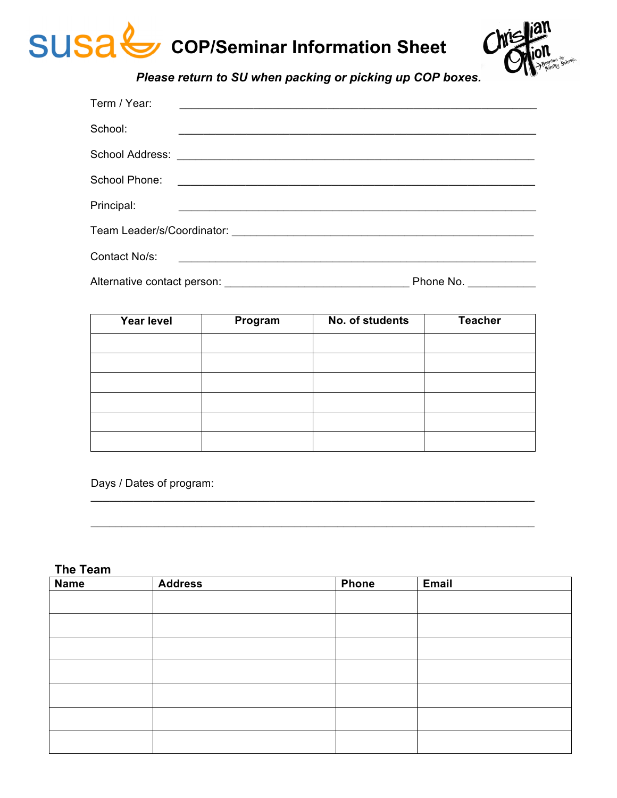



*Please return to SU when packing or picking up COP boxes.*

| Term / Year:                |           |
|-----------------------------|-----------|
| School:                     |           |
|                             |           |
| School Phone:               |           |
| Principal:                  |           |
|                             |           |
| Contact No/s:               |           |
| Alternative contact person: | Phone No. |

| Year level | Program | No. of students | <b>Teacher</b> |
|------------|---------|-----------------|----------------|
|            |         |                 |                |
|            |         |                 |                |
|            |         |                 |                |
|            |         |                 |                |
|            |         |                 |                |
|            |         |                 |                |

 $\_$  , and the set of the set of the set of the set of the set of the set of the set of the set of the set of the set of the set of the set of the set of the set of the set of the set of the set of the set of the set of th

 $\_$  , and the set of the set of the set of the set of the set of the set of the set of the set of the set of the set of the set of the set of the set of the set of the set of the set of the set of the set of the set of th

Days / Dates of program:

#### **The Team**

| <b>Name</b> | <b>Address</b> | <b>Phone</b> | Email |
|-------------|----------------|--------------|-------|
|             |                |              |       |
|             |                |              |       |
|             |                |              |       |
|             |                |              |       |
|             |                |              |       |
|             |                |              |       |
|             |                |              |       |
|             |                |              |       |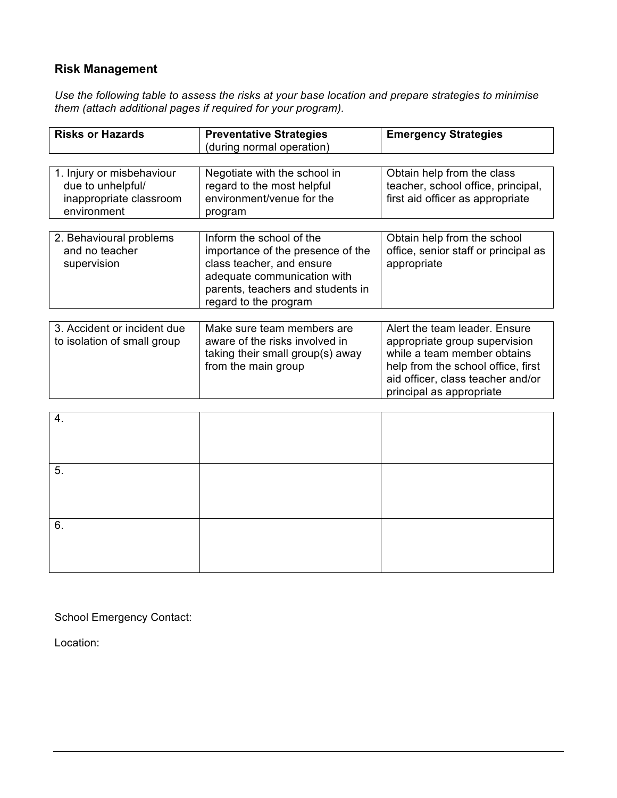# **Risk Management**

*Use the following table to assess the risks at your base location and prepare strategies to minimise them (attach additional pages if required for your program).*

| <b>Risks or Hazards</b>                                                                  | <b>Preventative Strategies</b><br>(during normal operation)                                                                                                                             | <b>Emergency Strategies</b>                                                                                                                                                                          |
|------------------------------------------------------------------------------------------|-----------------------------------------------------------------------------------------------------------------------------------------------------------------------------------------|------------------------------------------------------------------------------------------------------------------------------------------------------------------------------------------------------|
|                                                                                          |                                                                                                                                                                                         |                                                                                                                                                                                                      |
| 1. Injury or misbehaviour<br>due to unhelpful/<br>inappropriate classroom<br>environment | Negotiate with the school in<br>regard to the most helpful<br>environment/venue for the<br>program                                                                                      | Obtain help from the class<br>teacher, school office, principal,<br>first aid officer as appropriate                                                                                                 |
|                                                                                          |                                                                                                                                                                                         |                                                                                                                                                                                                      |
| 2. Behavioural problems<br>and no teacher<br>supervision                                 | Inform the school of the<br>importance of the presence of the<br>class teacher, and ensure<br>adequate communication with<br>parents, teachers and students in<br>regard to the program | Obtain help from the school<br>office, senior staff or principal as<br>appropriate                                                                                                                   |
|                                                                                          |                                                                                                                                                                                         |                                                                                                                                                                                                      |
| 3. Accident or incident due<br>to isolation of small group                               | Make sure team members are<br>aware of the risks involved in<br>taking their small group(s) away<br>from the main group                                                                 | Alert the team leader. Ensure<br>appropriate group supervision<br>while a team member obtains<br>help from the school office, first<br>aid officer, class teacher and/or<br>principal as appropriate |

| $\overline{4}$ . |  |
|------------------|--|
|                  |  |
|                  |  |
|                  |  |
| 5.               |  |
|                  |  |
|                  |  |
|                  |  |
|                  |  |
| 6.               |  |
|                  |  |
|                  |  |
|                  |  |
|                  |  |

School Emergency Contact:

Location: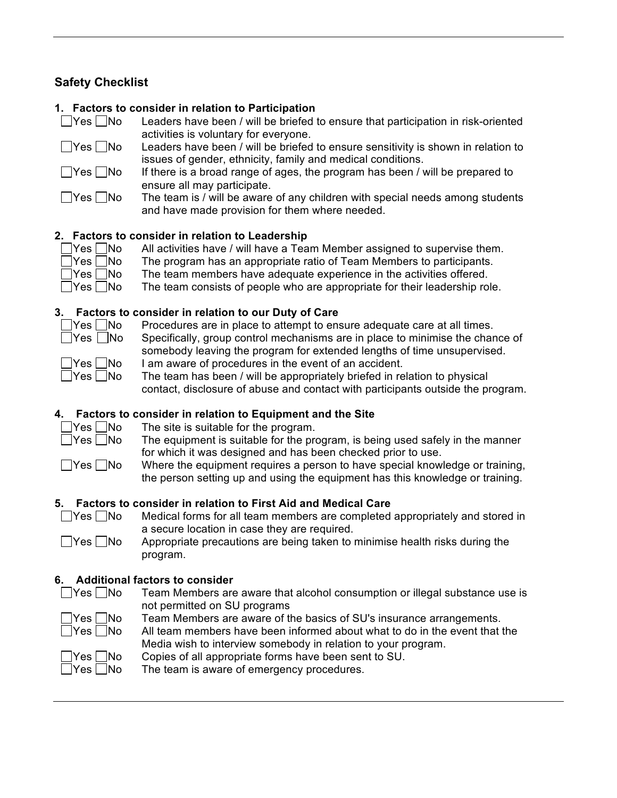## **Safety Checklist**

#### **1. Factors to consider in relation to Participation**

| $\Box$ Yes $\Box$ No | Leaders have been / will be briefed to ensure that participation in risk-oriented |
|----------------------|-----------------------------------------------------------------------------------|
|                      | activities is voluntary for everyone.                                             |
| $\Box$ Yes $\Box$ No | Leaders have been / will be briefed to ensure sensitivity is shown in relation to |
|                      | issues of gender, ethnicity, family and medical conditions.                       |
| $\Box$ Yes $\Box$ No | If there is a broad range of ages, the program has been / will be prepared to     |

- ensure all may participate.
- $\Box$  Yes  $\Box$  No The team is / will be aware of any children with special needs among students and have made provision for them where needed.

#### **2. Factors to consider in relation to Leadership**

| $\Box$ Yes $\Box$ No | All activities have / will have a Team Member assigned to supervise them.  |
|----------------------|----------------------------------------------------------------------------|
| $\Box$ Yes $\Box$ No | The program has an appropriate ratio of Team Members to participants.      |
| $\Box$ Yes $\Box$ No | The team members have adequate experience in the activities offered.       |
| $\Box$ Yes $\Box$ No | The team consists of people who are appropriate for their leadership role. |

## **3. Factors to consider in relation to our Duty of Care**

| Yes | lN |
|-----|----|

p Procedures are in place to attempt to ensure adequate care at all times.

|  | TES I 1140 |  |
|--|------------|--|
|  |            |  |
|  |            |  |

- Specifically, group control mechanisms are in place to minimise the chance of somebody leaving the program for extended lengths of time unsupervised.
- $\Box$  Yes  $\Box$  No I am aware of procedures in the event of an accident.
- $\Box$  Yes  $\Box$  No The team has been / will be appropriately briefed in relation to physical contact, disclosure of abuse and contact with participants outside the program.

#### **4. Factors to consider in relation to Equipment and the Site**

- 
- $\Box$  Yes  $\Box$  No The site is suitable for the program.
- $\Box$  Yes  $\Box$  No The equipment is suitable for the program, is being used safely in the manner for which it was designed and has been checked prior to use.
- $\Box$  Yes  $\Box$  No Where the equipment requires a person to have special knowledge or training, the person setting up and using the equipment has this knowledge or training.

## **5. Factors to consider in relation to First Aid and Medical Care**

 $\Box$  Yes  $\Box$  No Medical forms for all team members are completed appropriately and stored in a secure location in case they are required.

 $\Box$  Yes  $\Box$  No Appropriate precautions are being taken to minimise health risks during the program.

## **6. Additional factors to consider**

- $\Box$  Yes  $\Box$  No Team Members are aware that alcohol consumption or illegal substance use is not permitted on SU programs
	- $\gamma$ es  $\Box$ No Team Members are aware of the basics of SU's insurance arrangements.
	- $\Box$ Yes  $\Box$ No All team members have been informed about what to do in the event that the Media wish to interview somebody in relation to your program.



 $\Box$  Yes  $\Box$  No Copies of all appropriate forms have been sent to SU.

 $\Box$  Yes  $\Box$  No The team is aware of emergency procedures.